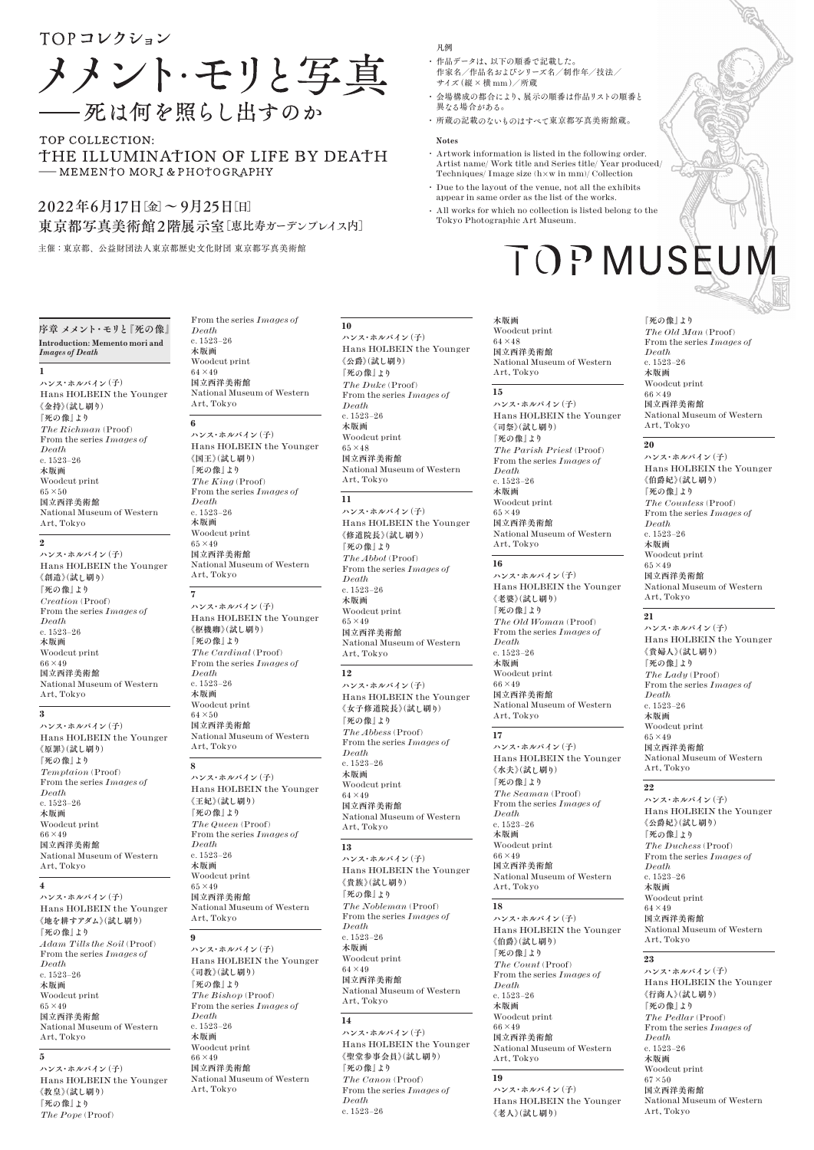# TOPコレクション

メメント・モリと写真 - 死は何を照らし出すのか

# TOP COLLECTION: THE ILLUMINATION OF LIFE BY DEATH - MEMENTO MORI & PHOTOGRAPHY

# 2022年6月17日[金]〜 9月25日[日] 東京都写真美術館 2階展示室[恵比寿ガーデンプレイス内]

主催:東京都、公益財団法人東京都歴史文化財団 東京都写真美術館

#### 序章 メメント**・**モリと**『**死の像**』 Introduction: Memento mori and**  *Images of Death*

**1** ハンス**・**ホルバイン**(**子**)** Hans HOLBEIN the Younger **《**金持**》(**試し刷り**) 『**死の像**』**より *The Richman* (Proof) From the series *Images of Death* c. 1523–26 木版画 Woodcut print 65×50 国立西洋美術館 National Museum of Western Art, Tokyo

#### **2**

ハンス**・**ホルバイン**(**子**)** Hans HOLBEIN the Younger **《**創造**》(**試し刷り**) 『**死の像**』**より *Creation* (Proof) From the series *Images of Death* c. 1523–26 木版画 Woodcut print  $66\times49$ 国立西洋美術館 National Museum of Western Art, Tokyo

# **3**

ハンス**・**ホルバイン**(**子**)** Hans HOLBEIN the Younger **《**原罪**》(**試し刷り**) 『**死の像**』**より *Temptaion* (Proof) From the series *Images of Death*  $c. 1523 - 26$ 木版画 Woodcut print 66×49 国立西洋美術館 National Museum of Western Art, Tokyo

# **4**

**5**

ハンス**・**ホルバイン**(**子**)** Hans HOLBEIN the Younger **《**地を耕すアダム**》(**試し刷り**) 『**死の像**』**より *Adam Tills the Soil* (Proof) From the series *Images of Death* c. 1523–26 木版画 Woodcut print  $65 \times 49$ 国立西洋美術館 National Museum of Western Art, Tokyo

#### ハンス**・**ホルバイン**(**子**)** Hans HOLBEIN the Younger **《**教皇**》(**試し刷り**) 『**死の像**』**より *The Pope* (Proof)

From the series *Images of Death* c. 1523–26 木版画 Woodcut print  $64 \times 49$ 国立西洋美術館 National Museum of Western Art, Tokyo

**10**

*Death*  $c. 1593 - 96$ 木版画 Woodcut print 65×48 国立西洋美術館

Art, Tokyo **11**

*Death* c. 1523–26 木版画 Woodcut print  $65 \times 49$ 国立西洋美術館

Art, Tokyo **12**

**『**死の像**』**より *The Abbess* (Proof) From the series *Images of* 

Art, Tokyo **13**

ハンス**・**ホルバイン**(**子**)** Hans HOLBEIN the Younger

*The Nobleman* (Proof) From the series *Images of* 

National Museum of Western

**《**貴族**》(**試し刷り**) 『**死の像**』**より

*Death*  $c. 1523 - 26$ 木版画 Woodcut print  $64\times49$ 国立西洋美術館

Art, Tokyo **14**

**『**死の像**』**より *The Canon* (Proof) From the series *Images of* 

*Death* c. 1523–26

ハンス**・**ホルバイン**(**子**)** Hans HOLBEIN the Younger **《**聖堂参事会員**》(**試し刷り**)**

*Death* c. 1523–26 木版画 Woodcut print 64×49 国立西洋美術館

ハンス**・**ホルバイン**(**子**)** Hans HOLBEIN the Younger **《**女子修道院長**》(**試し刷り**)**

ハンス**・**ホルバイン**(**子**)** Hans HOLBEIN the Younger **《**修道院長**》(**試し刷り**) 『**死の像**』**より *The Abbot* (Proof) From the series *Images of* 

ハンス**・**ホルバイン**(**子**)**

National Museum of Western

National Museum of Western

National Museum of Western

**《**公爵**》(**試し刷り**) 『**死の像**』**より *The Duke* (Proof) From the series *Images of* 

#### **6**

**7**

ハンス**・**ホルバイン**(**子**)** Hans HOLBEIN the Younger **《**国王**》(**試し刷り**) 『**死の像**』**より *The King* (Proof) From the series *Images of Death* c. 1523–26 木版画 Woodcut print  $65 \times 49$ 

国立西洋美術館 National Museum of Western Art, Tokyo

ハンス**・**ホルバイン**(**子**)** Hans HOLBEIN the Younger **《**枢機卿**》(**試し刷り**) 『**死の像**』**より *The Cardinal* (Proof) From the series *Images of Death* c. 1523–26 木版画 Woodcut print 64×50 国立西洋美術館 National Museum of Western Art, Tokyo **8**

ハンス**・**ホルバイン**(**子**)** Hans HOLBEIN the Younger **《**司教**》(**試し刷り**) 『**死の像**』**より *The Bishop* (Proof) From the series *Images of Death*  $c. 1593 - 96$ 木版画 Woodcut print  $66\times49$ 国立西洋美術館 National Museum of Western Art, Tokyo

#### **・** 会場構成の都合により**、**展示の順番は作品リストの順番と 異なる場合がある**。**

凡例

**・** 所蔵の記載のないものはすべて東京都写真美術館蔵**。 Notes** 

作家名**/**作品名およびシリーズ名**/**制作年**/**技法**/**

**・** 作品データは**、**以下の順番で記載した**。**

サイズ**(**縦×横 mm**)/**所蔵

- **・** Artwork information is listed in the following order. Artist name/ Work title and Series title/ Year produced/ Techniques/ Image size (h×w in mm)/ Collection
- **・** Due to the layout of the venue, not all the exhibits appear in same order as the list of the works.
- **・** All works for which no collection is listed belong to the Tokyo Photographic Art Museum.

# TOPMUSEUN

# 木版画 Woodcut print 国立西洋美術館

National Museum of Western Art, Tokyo

Hans HOLBEIN the Younger **《**司祭**》(**試し刷り**) 『**死の像**』**より *The Parish Priest* (Proof) From the series *Images of Death* c. 1523–26 木版画 Woodcut print  $65\times49$ 国立西洋美術館 National Museum of Western Art, Tokyo

ハンス**・**ホルバイン**(**子**)** Hans HOLBEIN the Younger National Museum of Western

### **17**

ハンス**・**ホルバイン**(**子**)** Hans HOLBEIN the Younger **《**水夫**》(**試し刷り**) 『**死の像**』**より *The Seaman* (Proof) From the series *Images of Death* c. 1523–26 木版画 Woodcut print  $66 \times 49$ 国立西洋美術館 National Museum of Western Art, Tokyo

ハンス**・**ホルバイン**(**子**)** Hans HOLBEIN the Younger **《**伯爵**》(**試し刷り**) 『**死の像**』**より *The Count* (Proof) From the series *Images of Death* c. 1523–26 木版画 Woodcut print  $66 \times 49$ 国立西洋美術館 National Museum of Western Art, Tokyo

Hans HOLBEIN the Younger **《**老人**》(**試し刷り**)**

#### **『**死の像**』**より *The Old Man* (Proof) From the series *Images of Death* c. 1523–26 木版画 Woodcut print  $66\times49$ 国立西洋美術館 National Museum of Western Art, Tokyo

#### **20**

ハンス**・**ホルバイン**(**子**)** Hans HOLBEIN the Younger **《**伯爵妃**》(**試し刷り**) 『**死の像**』**より *The Countess* (Proof) From the series *Images of Death* c. 1523–26 木版画 Woodcut print 65×49 国立西洋美術館 National Museum of Western Art, Tokyo

#### **21**

ハンス**・**ホルバイン**(**子**)** Hans HOLBEIN the Younger **《**貴婦人**》(**試し刷り**) 『**死の像**』**より *The Lady* (Proof) From the series *Images of Death* c. 1523–26 木版画 Woodcut print  $65\times49$ 国立西洋美術館 National Museum of Western Art, Tokyo

#### **22**

ハンス**・**ホルバイン**(**子**)** Hans HOLBEIN the Younger **《**公爵妃**》(**試し刷り**) 『**死の像**』**より *The Duchess* (Proof) From the series *Images of Death* c. 1523–26 木版画 Woodcut print  $64 \times 49$ 国立西洋美術館 National Museum of Western Art, Tokyo

# **23**

ハンス**・**ホルバイン**(**子**)** Hans HOLBEIN the Younger **《**行商人**》(**試し刷り**) 『**死の像**』**より *The Pedlar* (Proof) From the series *Images of Death* c. 1523–26 木版画 Woodcut print  $67 \times 50$ 国立西洋美術館 National Museum of Western Art, Tokyo

ハンス**・**ホルバイン**(**子**)** Hans HOLBEIN the Younger **《**王妃**》(**試し刷り**) 『**死の像**』**より *The Queen* (Proof) From the series *Images of Death* c. 1523–26 木版画 Woodcut print 65×49 国立西洋美術館 National Museum of Western Art, Tokyo

**9**

Hans HOLBEIN the Younger  $64 \times 48$ 

**15**

ハンス**・**ホルバイン**(**子**)**

### **16**

**《**老婆**》(**試し刷り**) 『**死の像**』**より *The Old Woman* (Proof) From the series *Images of Death* c. 1523–26 木版画 Woodcut print 66×49 国立西洋美術館

# Art, Tokyo

# $\overline{18}$

# **19**

ハンス**・**ホルバイン**(**子**)**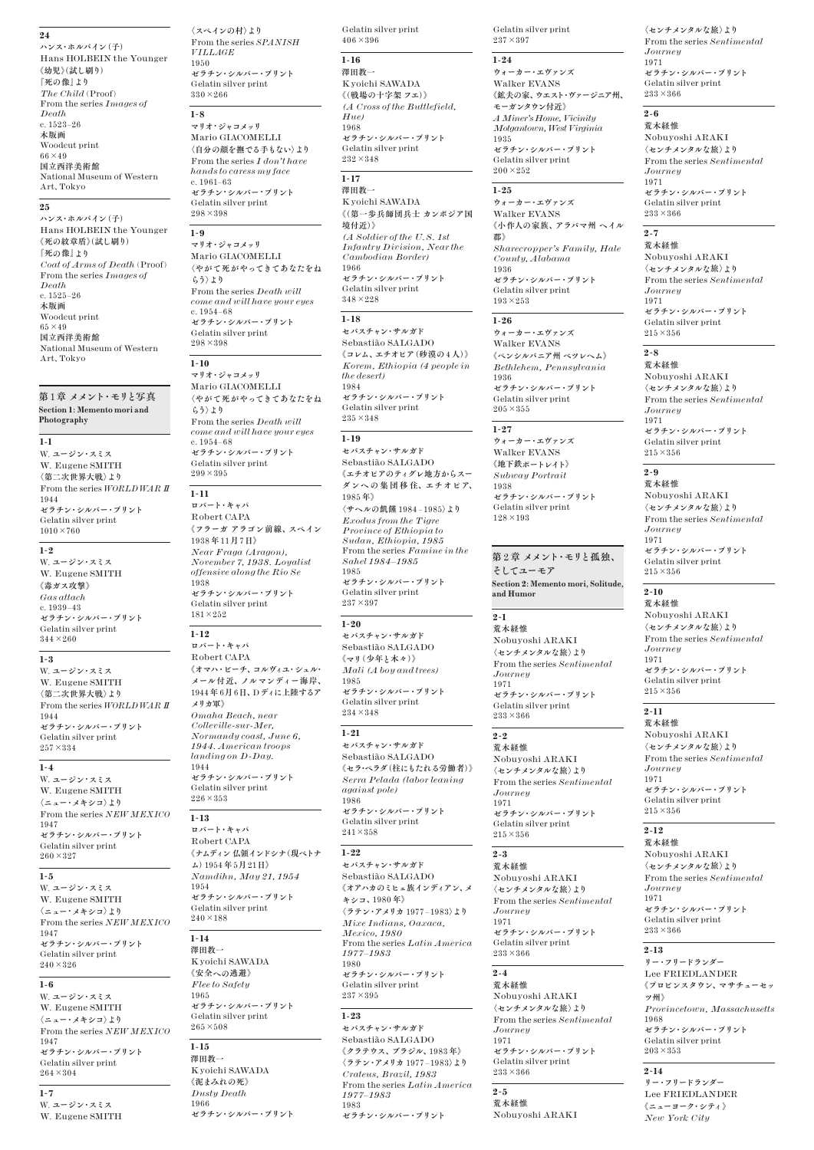#### **24**

ハンス**・**ホルバイン**(**子**)** Hans HOLBEIN the Younger **《**幼児**》(**試し刷り**) 『**死の像**』**より *The Child* (Proof) From the series *Images of Death* c. 1523–26 木版画 Woodcut print 66×49 国立西洋美術館 National Museum of Western Art, Tokyo

# **25**

ハンス**・**ホルバイン**(**子**)** Hans HOLBEIN the Younger **《**死の紋章盾**》(**試し刷り**) 『**死の像**』**より *Coat of Arms of Death* (Proof) From the series *Images of Death* c. 1525–26 木版画 Woodcut print  $65\times49$ 国立西洋美術館 National Museum of Western Art, Tokyo

#### 第 1章 メメント**・**モリと写真 **Section 1: Memento mori and Photography**

# **1-1**

W. ユージン**・**スミス W. Eugene SMITH **〈**第二次世界大戦**〉**より From the series *WORLD WAR II* 1944 ゼラチン**・**シルバー**・**プリント Gelatin silver print  $1010 \times 760$ 

#### **1-2**

W. ユージン**・**スミス W. Eugene SMITH **《**毒ガス攻撃**》** *Gas attach* c. 1939–43 ゼラチン**・**シルバー**・**プリント Gelatin silver print  $344 \times 260$ 

#### **1-3**

W. ユージン**・**スミス W. Eugene SMITH **〈**第二次世界大戦**〉**より From the series *WORLD WAR II* 1944 ゼラチン**・**シルバー**・**プリント Gelatin silver print  $257 \times 334$ 

#### **1-4**

W. ユージン**・**スミス W. Eugene SMITH **〈**ニュー**・**メキシコ**〉**より From the series *NEW MEXICO* 1947 ゼラチン**・**シルバー**・**プリント Gelatin silver print 260×327

#### **1-5**

W. ユージン**・**スミス W. Eugene SMITH **〈**ニュー**・**メキシコ**〉**より From the series *NEW MEXICO* 1947 ゼラチン**・**シルバー**・**プリント Gelatin silver print  $240 \times 326$ 

### **1-6**

W. ユージン**・**スミス W. Eugene SMITH **〈**ニュー**・**メキシコ**〉**より From the series *NEW MEXICO* 1947 ゼラチン**・**シルバー**・**プリント Gelatin silver print  $264 \times 304$ 

#### **1-7**

W. ユージン**・**スミス W. Eugene SMITH

**〈**スペインの村**〉**より From the series *SPANISH VILLAGE* 1950 ゼラチン**・**シルバー**・**プリント Gelatin silver print 330×266

#### **1-8** マリオ**・**ジャコメッリ

Mario GIACOMELLI **〈**自分の顔を撫でる手もない**〉**より From the series *I don't have hands to caress my face* c. 1961–63 ゼラチン**・**シルバー**・**プリント Gelatin silver print 298×398

#### **1-9**

マリオ**・**ジャコメッリ Mario GIACOMELLI **〈**やがて死がやってきてあなたをね らう**〉**より From the series *Death will come and will have your eyes* c. 1954–68 ゼラチン**・**シルバー**・**プリント Gelatin silver print 298×398

#### **1-10**

マリオ**・**ジャコメッリ Mario GIACOMELLI **〈**やがて死がやってきてあなたをね らう**〉**より From the series *Death will come and will have your eyes* c. 1954–68 ゼラチン**・**シルバー**・**プリント Gelatin silver print  $299 \times 395$ 

#### **1-11**

ロバート**・**キャパ Robert CAPA **《**フラーガ アラゴン前線**、**スペイン 1938 年11月7日**》** *Near Fraga (Aragon), November 7, 1938. Loyalist offensive along the Rio Se* 1938 ゼラチン**・**シルバー**・**プリント Gelatin silver print 181×252 **1-12** ロバート**・**キャパ Robert CAPA

**《**オマハ**・**ビーチ**、**コルヴィユ**・**シュル**・** メール付近**、**ノルマンディー海岸**、** 1944年 6月6日**、**Dディに上陸するア メリカ軍**》** *Omaha Beach, near Colleville-sur-Mer, Normandy coast, June 6, 1944. American troops landing on D-Day.* 1944 ゼラチン**・**シルバー**・**プリント Gelatin silver print 226×353

# **1-13**

ロバート**・**キャパ Robert CAPA **《**ナムディン 仏領インドシナ**(**現ベトナ ム**)**1954 年 5月21日**》** *Namdihn, May 21, 1954* 1954 ゼラチン**・**シルバー**・**プリント Gelatin silver print 240×188

#### **1-14** 澤田教一

Kyoichi SAWADA **《**安全への逃避**》** *Flee to Safety* 1965 ゼラチン**・**シルバー**・**プリント Gelatin silver print  $265 \times 508$ 

#### **1-15**

澤田教一 Kyoichi SAWADA **《**泥まみれの死**》** *Dusty Death* 1966 ゼラチン**・**シルバー**・**プリント Gelatin silver print  $406 \times 396$ 

#### **1-16**

澤田教一 Kyoichi SAWADA **《(**戦場の十字架 フエ**)》** *(A Cross of the Buttlefield, Hue)*  $1968$ ゼラチン**・**シルバー**・**プリント Gelatin silver print 232×348

#### **1-17**

澤田教一 Kyoichi SAWADA **《(**第一歩兵師団兵士 カンボジア国 境付近**)》** *(A Soldier of the U.S. 1st Infantry Division, Near the Cambodian Border)* 1966 ゼラチン**・**シルバー**・**プリント Gelatin silver print 348×228

#### **1-18**

セバスチャン**・**サルガド Sebastião SALGADO **《**コレム**、**エチオピア**(**砂漠の4人**)》** *Korem, Ethiopia (4 people in the desert)* 1984 ゼラチン**・**シルバー**・**プリント Gelatin silver print 235×348

#### **1-19**

セバスチャン**・**サルガド Sebastião SALGADO **《**エチオピアのティグレ地方からスー ダンへの 集団移住**、**エチオピア**、** 1985 年**》 〈**サヘルの飢饉 1984 – 1985**〉**より *Exodus from the Tigre Province of Ethiopia to Sudan, Ethiopia, 1985* From the series *Famine in the Sahel 1984–1985* 1985 ゼラチン**・**シルバー**・**プリント

Gelatin silver print  $237\times397$ 

#### **1-20**

セバスチャン**・**サルガド Sebastião SALGADO **《**マリ**(**少年と木々**)》** *Mali (A boy and trees)* 1985 ゼラチン**・**シルバー**・**プリント Gelatin silver print 234×348

#### **1-21**

セバスチャン**・**サルガド Sebastião SALGADO **《**セラ**・**ペラダ**(**柱にもたれる労働者**)》** *Serra Pelada (labor leaning against pole)* 1986 ゼラチン**・**シルバー**・**プリント Gelatin silver print  $241 \times 358$ 

#### **1-22**

セバスチャン**・**サルガド Sebastião SALGADO **《**オアハカのミヒェ族インディアン**、**メ キシコ**、**1980 年**》 〈**ラテン**・**アメリカ 1977 – 1983**〉**より *Mixe Indians, Oaxaca, Mexico, 1980* From the series *Latin America 1977–1983* 1980 ゼラチン**・**シルバー**・**プリント Gelatin silver print 237×395

#### **1-23**

セバスチャン**・**サルガド Sebastião SALGADO **《**クラテウス**、**ブラジル**、**1983 年**》 〈**ラテン**・**アメリカ 1977 – 1983**〉**より *Crateus, Brazil, 1983* From the series *Latin America 1977–1983* 1983 ゼラチン**・**シルバー**・**プリント

Gelatin silver print 237×397

#### **1-24**

ウォーカー**・**エヴァンズ Walker EVANS **《**鉱夫の家**、**ウエスト**・**ヴァージニア州**、** モーガンタウン付近**》** *A Miner's Home, Vicinity Motgantown, West Virginia* 1935 ゼラチン**・**シルバー**・**プリント Gelatin silver print 200×252

# **1-25**

ウォーカー**・**エヴァンズ Walker EVANS **《**小作人の家族**、**アラバマ州 ヘイル 郡**》** *Sharecropper's Family, Hale County, Alabama* 1936 ゼラチン**・**シルバー**・**プリント Gelatin silver print

#### **1-26**

193×253

ウォーカー**・**エヴァンズ Walker EVANS **《**ペンシルバニア州 ベツレヘム**》** *Bethlehem, Pennsylvania* 1936 ゼラチン**・**シルバー**・**プリント Gelatin silver print  $205 \times 355$ 

### **1-27**

ウォーカー**・**エヴァンズ Walker EVANS **《**地下鉄ポートレイト**》** *Subway Portrait* 1938 ゼラチン**・**シルバー**・**プリント Gelatin silver print 128×193

第 2 章 メメント**・**モリと孤独**、** そしてユーモア **Section 2: Memento mori, Solitude, and Humor**

# **2-1**

荒木経惟 Nobuyoshi ARAKI **〈**センチメンタルな旅**〉**より From the series *Sentimental Journey* 1971 ゼラチン**・**シルバー**・**プリント Gelatin silver print 233×366

### **2-2**

荒木経惟 Nobuyoshi ARAKI **〈**センチメンタルな旅**〉**より From the series *Sentimental Journey* 1971 ゼラチン**・**シルバー**・**プリント Gelatin silver print 215×356

# **2-3**

荒木経惟 Nobuyoshi ARAKI **〈**センチメンタルな旅**〉**より From the series *Sentimental Journey* 1971 ゼラチン**・**シルバー**・**プリント Gelatin silver print 233×366

### **2-4**

荒木経惟 Nobuyoshi ARAKI **〈**センチメンタルな旅**〉**より From the series *Sentimental Journey* 1971 ゼラチン**・**シルバー**・**プリント Gelatin silver print 233×366

# **2-5**

荒木経惟 Nobuyoshi ARAKI

#### **〈**センチメンタルな旅**〉**より From the series *Sentimental Journey* 1971 ゼラチン**・**シルバー**・**プリント Gelatin silver print 233×366

#### **2-6** 荒木経惟

Nobuyoshi ARAKI **〈**センチメンタルな旅**〉**より From the series *Sentimental Journey* 1971 ゼラチン**・**シルバー**・**プリント Gelatin silver print 233×366

#### **2-7**

荒木経惟 Nobuyoshi ARAKI **〈**センチメンタルな旅**〉**より From the series *Sentimental Journey* 1971 ゼラチン**・**シルバー**・**プリント Gelatin silver print  $215 \times 356$ 

#### **2-8** 荒木経惟

Nobuyoshi ARAKI **〈**センチメンタルな旅**〉**より From the series *Sentimental Journey* 1971 ゼラチン**・**シルバー**・**プリント Gelatin silver print  $215\times356$ 

# **2-9**

荒木経惟 Nobuyoshi ARAKI **〈**センチメンタルな旅**〉**より From the series *Sentimental Journey* 1971 ゼラチン**・**シルバー**・**プリント Gelatin silver print  $215 \times 356$ 

# **2-10**

荒木経惟 Nobuyoshi ARAKI **〈**センチメンタルな旅**〉**より From the series *Sentimental Journey* 1971 ゼラチン**・**シルバー**・**プリント Gelatin silver print  $215 \times 356$ 

# **2-11**

荒木経惟 Nobuyoshi ARAKI **〈**センチメンタルな旅**〉**より From the series *Sentimental Journey* 1971 ゼラチン**・**シルバー**・**プリント Gelatin silver print  $215 \times 356$ 

# **2-12**

荒木経惟 Nobuyoshi ARAKI **〈**センチメンタルな旅**〉**より From the series *Sentimental Journey* 1971 ゼラチン**・**シルバー**・**プリント Gelatin silver print 233×366

#### **2-13**

リー**・**フリードランダー Lee FRIEDLANDER **《**プロビンスタウン**、**マサチューセッ ツ州**》** *Provincetown, Massachusetts* 1968 ゼラチン**・**シルバー**・**プリント Gelatin silver print 203×353

## **2-14**

リー**・**フリードランダー Lee FRIEDLANDER **《**ニューヨーク**・**シティ**》** *New York City*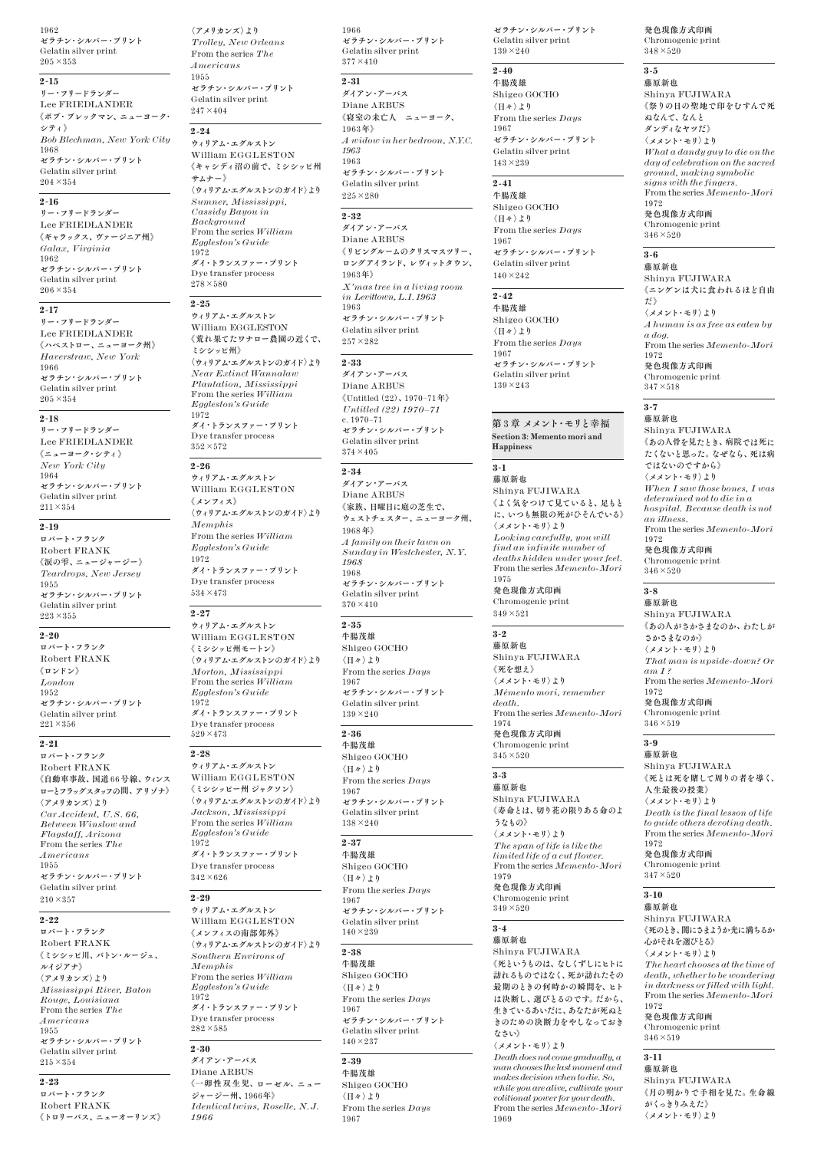1962 ゼラチン**・**シルバー**・**プリント Gelatin silver print  $205 \times 353$ 

# **2-15**

リー**・**フリードランダー Lee FRIEDLANDER **《**ボブ**・**ブレックマン**、**ニューヨーク**・** シティ**》** *Bob Blechman, New York City* 1968 ゼラチン**・**シルバー**・**プリント Gelatin silver print 204×354

### **2-16**

リー**・**フリードランダー Lee FRIEDLANDER **《**ギャラックス**、**ヴァージニア州**》** *Galax, Virginia* 1962 ゼラチン**・**シルバー**・**プリント Gelatin silver print 206×354

#### **2-17**

リー**・**フリードランダー Lee FRIEDLANDER **《**ハベストロー**、**ニューヨーク州**》** *Haverstraw, New York* 1966 ゼラチン**・**シルバー**・**プリント Gelatin silver print  $205 \times 354$ 

#### **2-18**

リー**・**フリードランダー Lee FRIEDLANDER **《**ニューヨーク**・**シティ**》** *New York City* 1964 ゼラチン**・**シルバー**・**プリント Gelatin silver print 211×354

#### **2-19**

ロバート**・**フランク Robert FRANK **《**涙の雫**、**ニュージャージー**》** *Teardrops, New Jersey* 1955 ゼラチン**・**シルバー**・**プリント Gelatin silver print 223×355

#### **2-20**

ロバート**・**フランク Robert FRANK **《**ロンドン**》** *London* 1952 ゼラチン**・**シルバー**・**プリント Gelatin silver print 221×356

#### **2-21**

ロバート**・**フランク Robert FRANK **《**自動車事故**、**国道 66号線**、**ウィンス ローとフラッグスタッフの間**、**アリゾナ**》 〈**アメリカンズ**〉**より *Car Accident, U.S. 66, Between Winslow and Flagstaff, Arizona* From the series *The Americans* 1955 ゼラチン**・**シルバー**・**プリント Gelatin silver print  $210 \times 357$ 

#### **2-22**

ロバート**・**フランク Robert FRANK **《**ミシシッピ川**、**バトン**・**ルージュ**、** ルイジアナ**》 〈**アメリカンズ**〉**より *Mississippi River, Baton Rouge, Louisiana* From the series *The Americans* 1955 ゼラチン**・**シルバー**・**プリント Gelatin silver print  $215 \times 354$ 

#### **2-23**

ロバート**・**フランク Robert FRANK **《**トロリーバス**、**ニューオーリンズ**》**

**〈**アメリカンズ**〉**より *Trolley, New Orleans* From the series *The Americans* 1955 ゼラチン**・**シルバー**・**プリント Gelatin silver print  $247 \times 404$ 

#### **2-24**

ウィリアム**・**エグルストン William EGGLESTON **《**キャシディ沼の前で**、**ミシシッピ州 サムナー**》 〈**ウィリアム**・**エグルストンのガイド**〉**より *Sumner, Mississippi, Cassidy Bayou in Background* From the series *William Eggleston's Guide* 1972 ダイ**・**トランスファー**・**プリント Dye transfer process  $278 \times 580$ 

#### **2-25**

ウィリアム**・**エグルストン William EGGLESTON **《**荒れ果てたワナロー農園の近くで**、** ミシシッピ州**》 〈**ウィリアム**・**エグルストンのガイド**〉**より *Near Extinct Wannalaw Plantation, Mississippi* From the series *William Eggleston's Guide* 1972 ダイ**・**トランスファー**・**プリント Dye transfer process 352×572

#### **2-26**

ウィリアム**・**エグルストン William EGGLESTON **《**メンフィス**》 〈**ウィリアム**・**エグルストンのガイド**〉**より *Memphis* From the series *William Eggleston's Guide* 1972 ダイ**・**トランスファー**・**プリント Dye transfer process 534×473

#### **2-27**

ウィリアム**・**エグルストン William EGGLESTON **《**ミシシッピ州モートン**》 〈**ウィリアム**・**エグルストンのガイド**〉**より *Morton, Mississippi* From the series *William Eggleston's Guide* 1972 ダイ**・**トランスファー**・**プリント Dye transfer process 529×473

#### **2-28**

ウィリアム**・**エグルストン William EGGLESTON **《**ミシシッピー州 ジャクソン**》 〈**ウィリアム**・**エグルストンのガイド**〉**より *Jackson, Mississippi* From the series *William Eggleston's Guide* 1972 ダイ**・**トランスファー**・**プリント Dye transfer process  $342\times626$ 

#### **2-29**

ウィリアム**・**エグルストン William EGGLESTON **《**メンフィスの南部郊外**》 〈**ウィリアム**・**エグルストンのガイド**〉**より *Southern Environs of Memphis* From the series *William Eggleston's Guide* 1972 ダイ**・**トランスファー**・**プリント Dye transfer process 282×585

#### **2-30**

ダイアン**・**アーバス Diane ARBUS **《**一卵性双生児**、**ローゼル**、**ニュー ジャージー州**、**1966年**》** *Identical twins, Roselle, N.J. 1966*

1966 ゼラチン**・**シルバー**・**プリント Gelatin silver print  $377 \times 410$ 

### **2-31**

ダイアン**・**アーバス Diane ARBUS **《**寝室の未亡人 ニューヨーク**、** 1963年**》** *A widow in her bedroon, N.Y.C. 1963* 1963 ゼラチン**・**シルバー**・**プリント Gelatin silver print  $225\times280$ 

# $\overline{2.39}$

ダイアン**・**アーバス Diane ARBUS **《**リビングルームのクリスマスツリー**、** ロングアイランド**、**レヴィットタウン**、** 1963年**》** *X'mas tree in a living room in Levittown, L.I. 1963* 1963 ゼラチン**・**シルバー**・**プリント Gelatin silver print 257×282

#### **2-33**

ダイアン**・**アーバス Diane ARBUS **《**Untitled**(**22**)、**1970–71年**》** *Untitled (22) 1970–71* c. 1970–71 ゼラチン**・**シルバー**・**プリント Gelatin silver print  $374\times405$ 

#### **2-34**

ダイアン**・**アーバス Diane ARBUS **《**家族**、**日曜日に庭の芝生で**、** ウェストチェスター**、**ニューヨーク州**、** 1968 年**》** *A family on their lawn on Sunday in Westchester, N.Y. 1968* 1968 ゼラチン**・**シルバー**・**プリント Gelatin silver print  $370\times410$ 

# **2-35**

牛腸茂雄 Shigeo GOCHO **〈**日々**〉**より From the series *Days* 1967 ゼラチン**・**シルバー**・**プリント Gelatin silver print  $139 \times 240$ 

#### **2-36**

牛腸茂雄 Shigeo GOCHO **〈**日々**〉**より From the series *Days* 1967 ゼラチン**・**シルバー**・**プリント Gelatin silver print 138×240

# **2-37**

牛腸茂雄 Shigeo GOCHO **〈**日々**〉**より From the series *Days* 1967 ゼラチン**・**シルバー**・**プリント Gelatin silver print  $140\times239$ 

#### **2-38**

牛腸茂雄 Shigeo GOCHO **〈**日々**〉**より From the series *Days* 1967 ゼラチン**・**シルバー**・**プリント Gelatin silver print 140×237

### **2-39**

牛腸茂雄 Shigeo GOCHO **〈**日々**〉**より From the series *Days* 1967

ゼラチン**・**シルバー**・**プリント Gelatin silver print 139×240

#### **2-40** 牛腸茂雄

Shigeo GOCHO **〈**日々**〉**より From the series *Days* 1967 ゼラチン**・**シルバー**・**プリント Gelatin silver print 143×239

### **2-41**

牛腸茂雄 Shigeo GOCHO **〈**日々**〉**より From the series *Days* 1967 ゼラチン**・**シルバー**・**プリント Gelatin silver print  $140 \times 242$ 

#### **2-42**

牛腸茂雄 Shigeo GOCHO **〈**日々**〉**より From the series *Days* 1967 ゼラチン**・**シルバー**・**プリント Gelatin silver print 139×243

#### 第 3 章 メメント**・**モリと幸福 **Section 3: Memento mori and Happiness**

**3-1** 藤原新也

Shinya FUJIWARA **《**よく気をつけて見ていると**、**足もと に**、**いつも無限の死がひそんでいる**》 〈**メメント**・**モリ**〉**より *Looking carefully, you will find an infinite number of deaths hidden under your feet.*  From the series *Memento-Mori* 1975 発色現像方式印画 Chromogenic print

# $349 \times 521$ **3-2**

藤原新也 Shinya FUJIWARA **《**死を想え**》 〈**メメント**・**モリ**〉**より *Mémento mori, remember death.* From the series *Memento-Mori* 1974 ……<br>発色現像方式印画

Chromogenic print  $345 \times 520$ 

#### **3-3** 藤原新也

Shinya FUJIWARA **《**寿命とは**、**切り花の限りある命のよ うなもの**》 〈**メメント**・**モリ**〉**より *The span of life is like the limited life of a cut flower.* From the series *Memento-Mori* 1979 発色現像方式印画

#### Chromogenic print  $349\times520$

# **3-4**

藤原新也 Shinya FUJIWARA **《**死というものは**、**なしくずしにヒトに 訪れるものではなく**、**死が訪れたその 最期のときの何時かの瞬間を**、**ヒト は決断し**、**選びとるのです**。**だから**、** 生きているあいだに**、**あなたが死ぬと きのための決断力をやしなっておき なさい**》**

**〈**メメント**・**モリ**〉**より *Death does not come gradually, a man chooses the last moment and makes decision when to die. So, while you are alive, cultivate your volitional power for your death.* From the series *Memento-Mori* 1969

#### 発色現像方式印画 Chromogenic print

 $348\times520$ 

# **3-5**

藤原新也 Shinya FUJIWARA **《**祭りの日の聖地で印をむすんで死 ぬなんて**、**なんと ダンディなヤツだ**》 〈**メメント**・**モリ**〉**より *What a dandy guy to die on the day of celebration on the sacred ground, making symbolic signs with the fingers.* From the series *Memento-Mori* 1972 発色現像方式印画 Chromogenic print  $346 \times 520$ 

# **3-6**

藤原新也 Shinya FUJIWARA **《**ニンゲンは犬に食われるほど自由 だ**》 〈**メメント**・**モリ**〉**より *A human is as free as eaten by a dog.* From the series *Memento-Mori* 1972 発色現像方式印画 Chromogenic print  $347\times518$ 

# **3-7**

藤原新也 Shinya FUJIWARA **《**あの人骨を見たとき**、**病院では死に たくないと思った**。**なぜなら**、**死は病 ではないのですから**》 〈**メメント**・**モリ**〉**より *When I saw those bones, I was determined not to die in a hospital. Because death is not an illness.* From the series *Memento-Mori* 1972 1912<br>発色現像方式印画 Chromogenic print  $346\times520$ 

# **3-8**

藤原新也 Shinya FUJIWARA **《**あの人がさかさまなのか**、**わたしが さかさまなのか**》 〈**メメント**・**モリ**〉**より *That man is upside-down? Or am I ?* From the series *Memento-Mori* 1972 発色現像方式印画 Chromogenic print  $346 \times 519$ 

# **3-9**

藤原新也 Shinya FUJIWARA **《**死とは死を賭して周りの者を導く**、** 人生最後の授業**》 〈**メメント**・**モリ**〉**より *Death is the final lesson of life to guide others devoting death.* From the series *Memento-Mori* 1972 発色現像方式印画

Chromogenic print  $347\times520$ 

# **3-10**

藤原新也 Shinya FUJIWARA **《**死のとき**、**闇にさまようか光に満ちるか 心がそれを選びとる**》 〈**メメント**・**モリ**〉**より *The heart chooses at the time of death, whether to be wondering in darkness or filled with light.* From the series *Memento-Mori* 1972 発色現像方式印画

Chromogenic print  $346 \times 519$ 

# **3-11**

藤原新也 Shinya FUJIWARA **《**月の明かりで手相を見た**。**生命線 がくっきりみえた**》 〈**メメント**・**モリ**〉**より